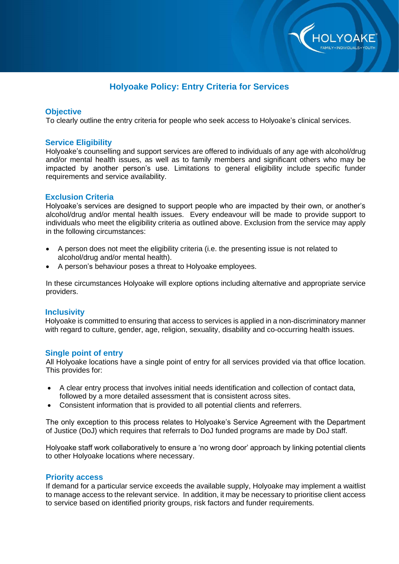

# **Holyoake Policy: Entry Criteria for Services**

#### **Objective**

To clearly outline the entry criteria for people who seek access to Holyoake's clinical services.

#### **Service Eligibility**

Holyoake's counselling and support services are offered to individuals of any age with alcohol/drug and/or mental health issues, as well as to family members and significant others who may be impacted by another person's use. Limitations to general eligibility include specific funder requirements and service availability.

# **Exclusion Criteria**

Holyoake's services are designed to support people who are impacted by their own, or another's alcohol/drug and/or mental health issues. Every endeavour will be made to provide support to individuals who meet the eligibility criteria as outlined above. Exclusion from the service may apply in the following circumstances:

- A person does not meet the eligibility criteria (i.e. the presenting issue is not related to alcohol/drug and/or mental health).
- A person's behaviour poses a threat to Holyoake employees.

In these circumstances Holyoake will explore options including alternative and appropriate service providers.

# **Inclusivity**

Holyoake is committed to ensuring that access to services is applied in a non-discriminatory manner with regard to culture, gender, age, religion, sexuality, disability and co-occurring health issues.

# **Single point of entry**

All Holyoake locations have a single point of entry for all services provided via that office location. This provides for:

- A clear entry process that involves initial needs identification and collection of contact data, followed by a more detailed assessment that is consistent across sites.
- Consistent information that is provided to all potential clients and referrers.

The only exception to this process relates to Holyoake's Service Agreement with the Department of Justice (DoJ) which requires that referrals to DoJ funded programs are made by DoJ staff.

Holyoake staff work collaboratively to ensure a 'no wrong door' approach by linking potential clients to other Holyoake locations where necessary.

#### **Priority access**

If demand for a particular service exceeds the available supply, Holyoake may implement a waitlist to manage access to the relevant service. In addition, it may be necessary to prioritise client access to service based on identified priority groups, risk factors and funder requirements.